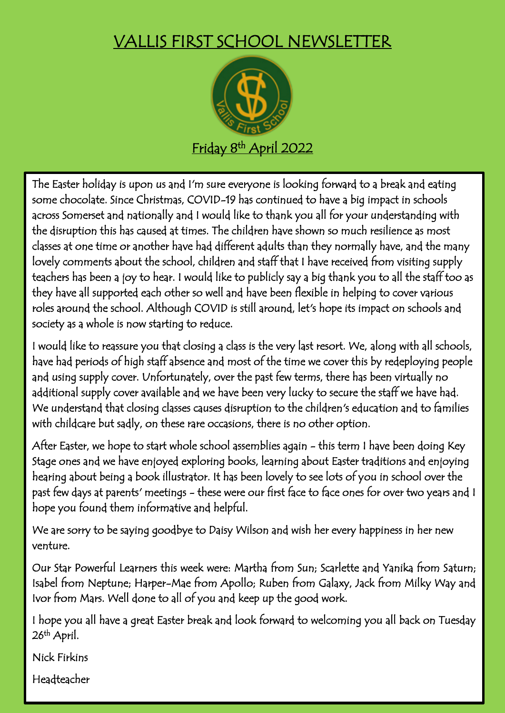## VALLIS FIRST SCHOOL NEWSLETTER



The Easter holiday is upon us and I'm sure everyone is looking forward to a break and eating some chocolate. Since Christmas, COVID-19 has continued to have a big impact in schools across Somerset and nationally and I would like to thank you all for your understanding with the disruption this has caused at times. The children have shown so much resilience as most classes at one time or another have had different adults than they normally have, and the many lovely comments about the school, children and staff that I have received from visiting supply teachers has been a joy to hear. I would like to publicly say a big thank you to all the staff too as they have all supported each other so well and have been flexible in helping to cover various roles around the school. Although COVID is still around, let's hope its impact on schools and society as a whole is now starting to reduce.

I would like to reassure you that closing a class is the very last resort. We, along with all schools, have had periods of high staff absence and most of the time we cover this by redeploying people and using supply cover. Unfortunately, over the past few terms, there has been virtually no additional supply cover available and we have been very lucky to secure the staff we have had. We understand that closing classes causes disruption to the children's education and to families with childcare but sadly, on these rare occasions, there is no other option.

After Easter, we hope to start whole school assemblies again - this term I have been doing Key Stage ones and we have enjoyed exploring books, learning about Easter traditions and enjoying hearing about being a book illustrator. It has been lovely to see lots of you in school over the past few days at parents' meetings - these were our first face to face ones for over two years and I hope you found them informative and helpful.

We are sorry to be saying goodbye to Daisy Wilson and wish her every happiness in her new venture.

Our Star Powerful Learners this week were: Martha from Sun; Scarlette and Yanika from Saturn; Isabel from Neptune; Harper-Mae from Apollo; Ruben from Galaxy, Jack from Milky Way and Ivor from Mars. Well done to all of you and keep up the good work.

I hope you all have a great Easter break and look forward to welcoming you all back on Tuesday 26<sup>th</sup> April. I

Nick Firkins

Headteacher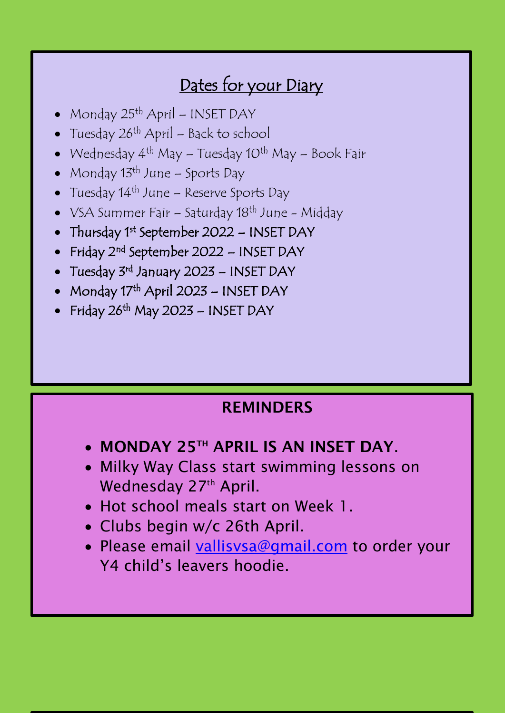## Dates for your Diary

- Monday 25th April INSET DAY
- Tuesday  $26<sup>th</sup>$  April Back to school
- Wednesday  $4^{th}$  May Tuesday 10<sup>th</sup> May Book Fair
- Monday 13<sup>th</sup> June Sports Day
- Tuesday 14<sup>th</sup> June Reserve Sports Day
- VSA Summer Fair Saturday 18<sup>th</sup> June Midday
- Thursday 1<sup>st</sup> September 2022 INSET DAY
- Friday 2<sup>nd</sup> September 2022 INSET DAY
- Tuesday 3<sup>rd</sup> January 2023 INSET DAY
- Monday 17<sup>th</sup> April 2023 INSET DAY
- Friday 26<sup>th</sup> May 2023 INSET DAY

## **REMINDERS**

- **MONDAY 25TH APRIL IS AN INSET DAY**.
- Wednesday 27th April. **• Milky Way Class start swimming lessons on**

- Hot school meals start on Week 1.
- Clubs begin w/c 26th April.
- Please email [vallisvsa@gmail.com](mailto:vallisvsa@gmail.com) to order your Y4 child's leavers hoodie.